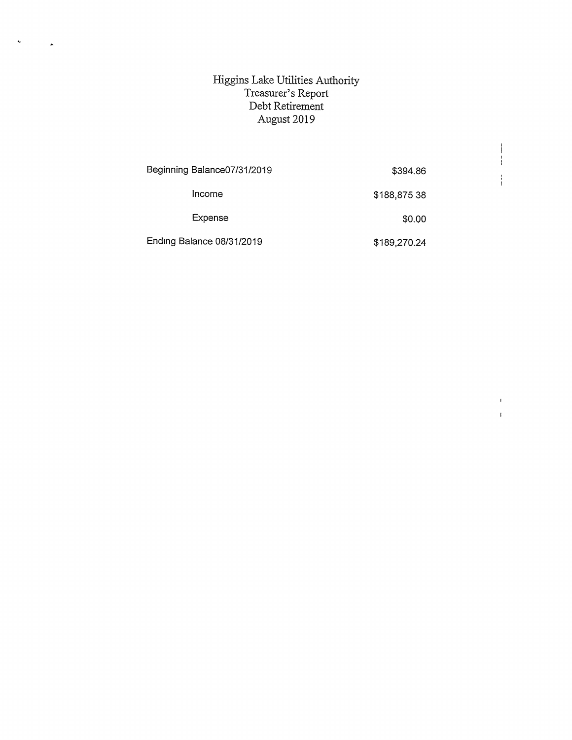## Higgins Lalke Utilities Authority Treasurer's Report Debt Retirement August 2019

 $\ddot{\phantom{0}}$ 

 $\ddot{\phantom{1}}$ 

| Beginning Balance07/31/2019 | \$394.86     |  |
|-----------------------------|--------------|--|
| Income                      | \$188,875 38 |  |
| Expense                     | \$0.00       |  |
| Ending Balance 08/31/2019   | \$189,270.24 |  |

 $\begin{array}{c} \begin{array}{c} \begin{array}{c} \begin{array}{c} \end{array} \\ \begin{array}{c} \end{array} \end{array} \end{array} \end{array}$ 

 $\frac{1}{4}$ 

 $\bar{1}$  $\bar{1}$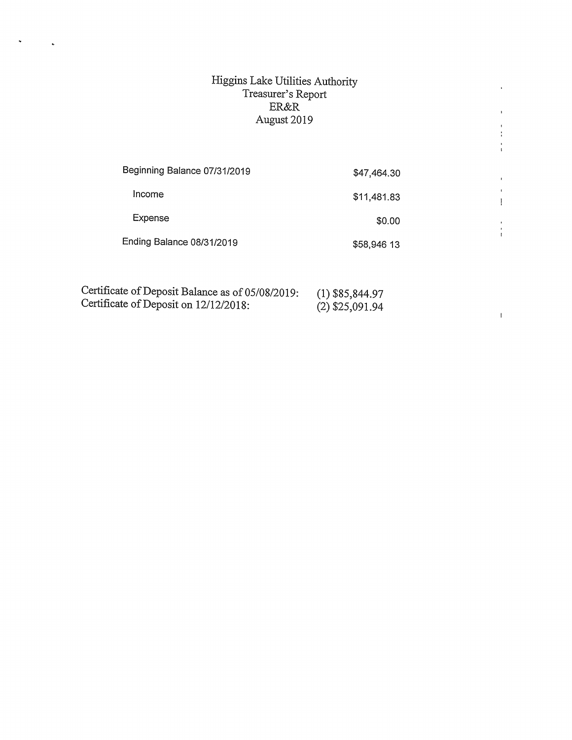## Higgins Lake Utilities Authority<br>Treasurer's Report<br>ER&R<br>August 2019

 $\hat{\textbf{r}}$ 

 $\ddot{\phantom{1}}$ 

 $\frac{1}{4}$  $\frac{1}{3}$ 

 $\mathbf{r}$  $\pmb{\cdot}$  $\begin{array}{c} \begin{array}{c} \end{array} \end{array}$ 

 $\frac{1}{4}$ 

 $\bar{1}$ 

| Beginning Balance 07/31/2019 | \$47,464.30 |
|------------------------------|-------------|
| Income                       | \$11,481.83 |
| Expense                      | \$0.00      |
| Ending Balance 08/31/2019    | \$58,946 13 |

| Certificate of Deposit Balance as of 05/08/2019: | $(1)$ \$85,844.97 |
|--------------------------------------------------|-------------------|
| Certificate of Deposit on 12/12/2018:            | $(2)$ \$25,091.94 |
|                                                  |                   |

 $\ddot{\phantom{a}}$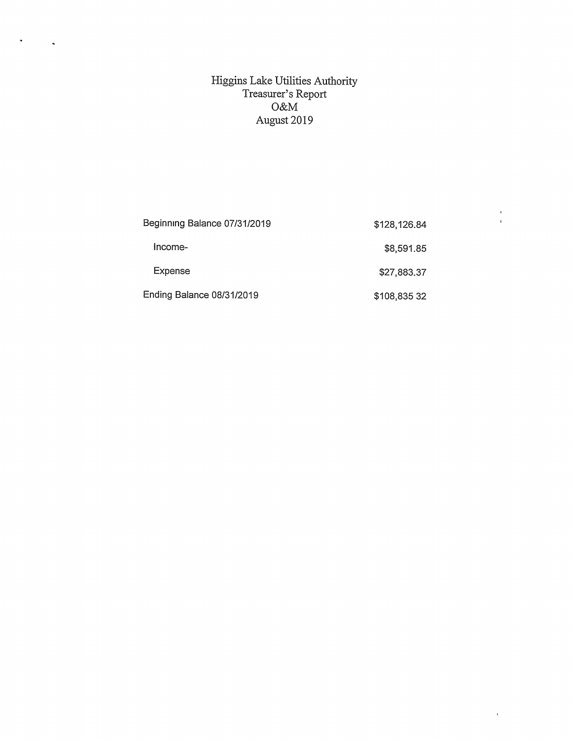## Higgins Lake Utilities Authority Treasurer's Report O&M August 2019

 $\hat{\mathbf{v}}$ 

 $\ddot{\phantom{a}}$ 

| Beginning Balance 07/31/2019 | \$128,126.84 |
|------------------------------|--------------|
| Income-                      | \$8,591.85   |
| Expense                      | \$27,883.37  |
| Ending Balance 08/31/2019    | \$108,835 32 |

 $\frac{1}{4}$ 

 $\hat{\boldsymbol{\theta}}$